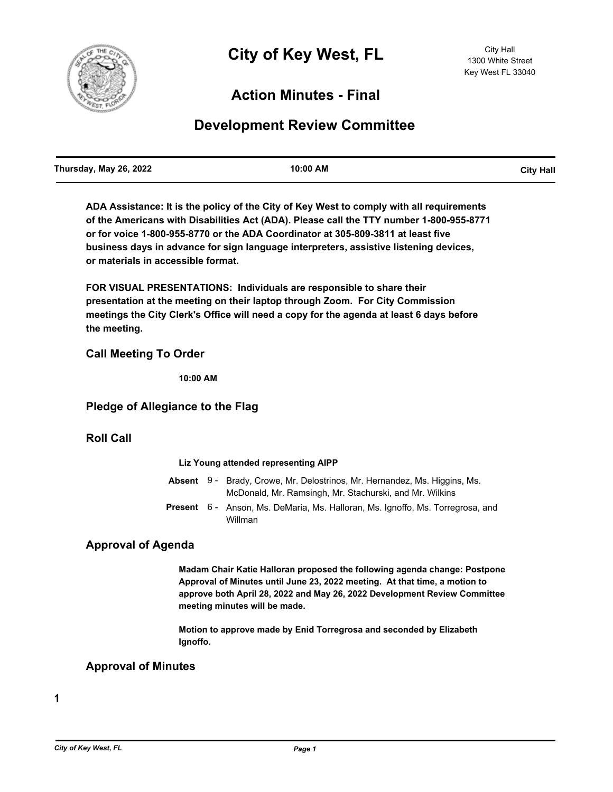

# **Action Minutes - Final**

# **Development Review Committee**

| Thursday, May 26, 2022 | 10:00 AM | <b>City Hall</b> |
|------------------------|----------|------------------|
|                        |          |                  |

**ADA Assistance: It is the policy of the City of Key West to comply with all requirements of the Americans with Disabilities Act (ADA). Please call the TTY number 1-800-955-8771 or for voice 1-800-955-8770 or the ADA Coordinator at 305-809-3811 at least five business days in advance for sign language interpreters, assistive listening devices, or materials in accessible format.**

**FOR VISUAL PRESENTATIONS: Individuals are responsible to share their presentation at the meeting on their laptop through Zoom. For City Commission meetings the City Clerk's Office will need a copy for the agenda at least 6 days before the meeting.**

## **Call Meeting To Order**

**10:00 AM**

### **Pledge of Allegiance to the Flag**

### **Roll Call**

#### **Liz Young attended representing AIPP**

|  | <b>Absent</b> 9 - Brady, Crowe, Mr. Delostrinos, Mr. Hernandez, Ms. Higgins, Ms.<br>McDonald, Mr. Ramsingh, Mr. Stachurski, and Mr. Wilkins |
|--|---------------------------------------------------------------------------------------------------------------------------------------------|
|  | Present 6- Anson, Ms. DeMaria, Ms. Halloran, Ms. Ignoffo, Ms. Torregrosa, and<br>Willman                                                    |

### **Approval of Agenda**

**Madam Chair Katie Halloran proposed the following agenda change: Postpone Approval of Minutes until June 23, 2022 meeting. At that time, a motion to approve both April 28, 2022 and May 26, 2022 Development Review Committee meeting minutes will be made.** 

**Motion to approve made by Enid Torregrosa and seconded by Elizabeth Ignoffo.**

### **Approval of Minutes**

**1**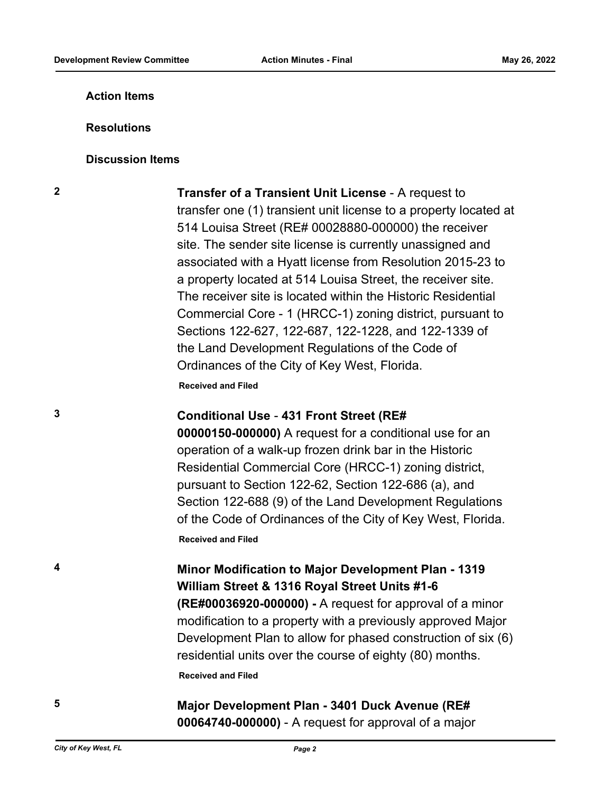# **Action Items**

### **Resolutions**

### **Discussion Items**

**2 Transfer of a Transient Unit License** - A request to transfer one (1) transient unit license to a property located at 514 Louisa Street (RE# 00028880-000000) the receiver site. The sender site license is currently unassigned and associated with a Hyatt license from Resolution 2015-23 to a property located at 514 Louisa Street, the receiver site. The receiver site is located within the Historic Residential Commercial Core - 1 (HRCC-1) zoning district, pursuant to Sections 122-627, 122-687, 122-1228, and 122-1339 of the Land Development Regulations of the Code of Ordinances of the City of Key West, Florida.

**Received and Filed**

# **3 Conditional Use** - **431 Front Street (RE#**

**00000150-000000)** A request for a conditional use for an operation of a walk-up frozen drink bar in the Historic Residential Commercial Core (HRCC-1) zoning district, pursuant to Section 122-62, Section 122-686 (a), and Section 122-688 (9) of the Land Development Regulations of the Code of Ordinances of the City of Key West, Florida. **Received and Filed**

**4 Minor Modification to Major Development Plan - 1319 William Street & 1316 Royal Street Units #1-6 (RE#00036920-000000) -** A request for approval of a minor modification to a property with a previously approved Major Development Plan to allow for phased construction of six (6) residential units over the course of eighty (80) months. **Received and Filed**

# **5 Major Development Plan - 3401 Duck Avenue (RE# 00064740-000000)** - A request for approval of a major